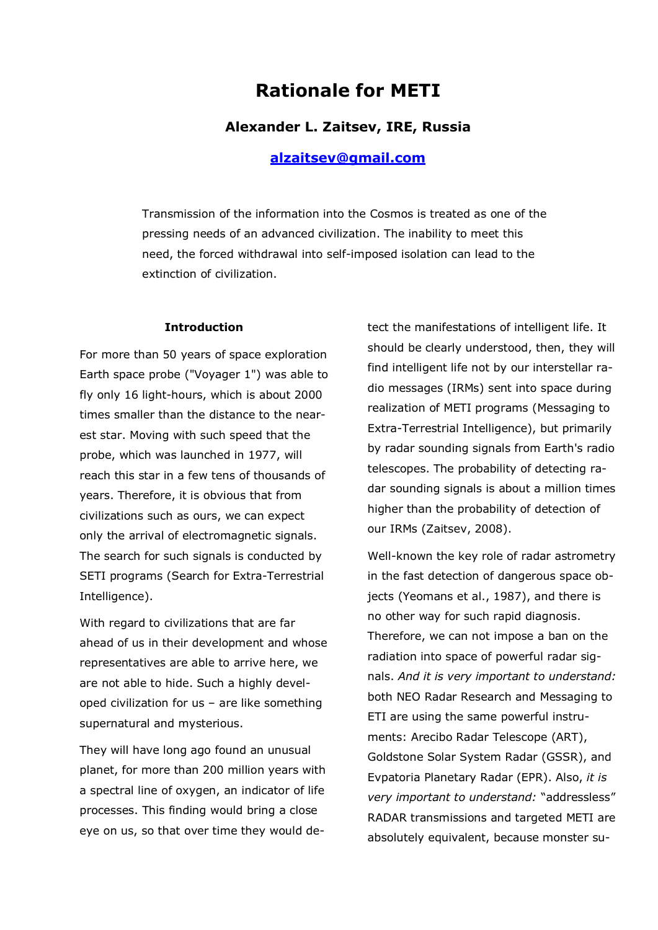# **Rationale for METI**

### **Alexander L. Zaitsev, IRE, Russia**

### **[alzaitsev@gmail.com](mailto:alzaitsev:@gmail.com)**

Transmission of the information into the Cosmos is treated as one of the pressing needs of an advanced civilization. The inability to meet this need, the forced withdrawal into self-imposed isolation can lead to the extinction of civilization.

#### **Introduction**

For more than 50 years of space exploration Earth space probe ("Voyager 1") was able to fly only 16 light-hours, which is about 2000 times smaller than the distance to the nearest star. Moving with such speed that the probe, which was launched in 1977, will reach this star in a few tens of thousands of years. Therefore, it is obvious that from civilizations such as ours, we can expect only the arrival of electromagnetic signals. The search for such signals is conducted by SETI programs (Search for Extra-Terrestrial Intelligence).

With regard to civilizations that are far ahead of us in their development and whose representatives are able to arrive here, we are not able to hide. Such a highly developed civilization for us – are like something supernatural and mysterious.

They will have long ago found an unusual planet, for more than 200 million years with a spectral line of oxygen, an indicator of life processes. This finding would bring a close eye on us, so that over time they would detect the manifestations of intelligent life. It should be clearly understood, then, they will find intelligent life not by our interstellar radio messages (IRMs) sent into space during realization of METI programs (Messaging to Extra-Terrestrial Intelligence), but primarily by radar sounding signals from Earth's radio telescopes. The probability of detecting radar sounding signals is about a million times higher than the probability of detection of our IRMs (Zaitsev, 2008).

Well-known the key role of radar astrometry in the fast detection of dangerous space objects (Yeomans et al., 1987), and there is no other way for such rapid diagnosis. Therefore, we can not impose a ban on the radiation into space of powerful radar signals. *And it is very important to understand:* both NEO Radar Research and Messaging to ETI are using the same powerful instruments: Arecibo Radar Telescope (ART), Goldstone Solar System Radar (GSSR), and Evpatoria Planetary Radar (EPR). Also, *it is very important to understand:* "addressless" RADAR transmissions and targeted METI are absolutely equivalent, because monster su-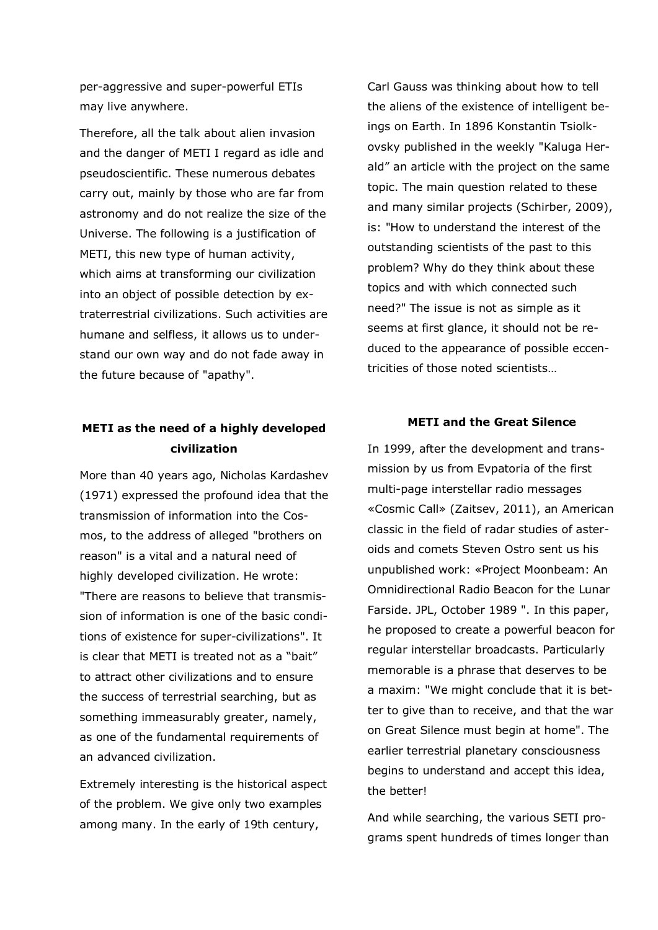per-aggressive and super-powerful ETIs may live anywhere.

Therefore, all the talk about alien invasion and the danger of METI I regard as idle and pseudoscientific. These numerous debates carry out, mainly by those who are far from astronomy and do not realize the size of the Universe. The following is a justification of METI, this new type of human activity, which aims at transforming our civilization into an object of possible detection by extraterrestrial civilizations. Such activities are humane and selfless, it allows us to understand our own way and do not fade away in the future because of "apathy".

## **METI as the need of a highly developed civilization**

More than 40 years ago, Nicholas Kardashev (1971) expressed the profound idea that the transmission of information into the Cosmos, to the address of alleged "brothers on reason" is a vital and a natural need of highly developed civilization. He wrote: "There are reasons to believe that transmission of information is one of the basic conditions of existence for super-civilizations". It is clear that METI is treated not as a "bait" to attract other civilizations and to ensure the success of terrestrial searching, but as something immeasurably greater, namely, as one of the fundamental requirements of an advanced civilization.

Extremely interesting is the historical aspect of the problem. We give only two examples among many. In the early of 19th century,

Carl Gauss was thinking about how to tell the aliens of the existence of intelligent beings on Earth. In 1896 Konstantin Tsiolkovsky published in the weekly "Kaluga Herald" an article with the project on the same topic. The main question related to these and many similar projects (Schirber, 2009), is: "How to understand the interest of the outstanding scientists of the past to this problem? Why do they think about these topics and with which connected such need?" The issue is not as simple as it seems at first glance, it should not be reduced to the appearance of possible eccentricities of those noted scientists…

#### **METI and the Great Silence**

In 1999, after the development and transmission by us from Evpatoria of the first multi-page interstellar radio messages «Cosmic Call» (Zaitsev, 2011), an American classic in the field of radar studies of asteroids and comets Steven Ostro sent us his unpublished work: «Project Moonbeam: An Omnidirectional Radio Beacon for the Lunar Farside. JPL, October 1989 ". In this paper, he proposed to create a powerful beacon for regular interstellar broadcasts. Particularly memorable is a phrase that deserves to be a maxim: "We might conclude that it is better to give than to receive, and that the war on Great Silence must begin at home". The earlier terrestrial planetary consciousness begins to understand and accept this idea, the better!

And while searching, the various SETI programs spent hundreds of times longer than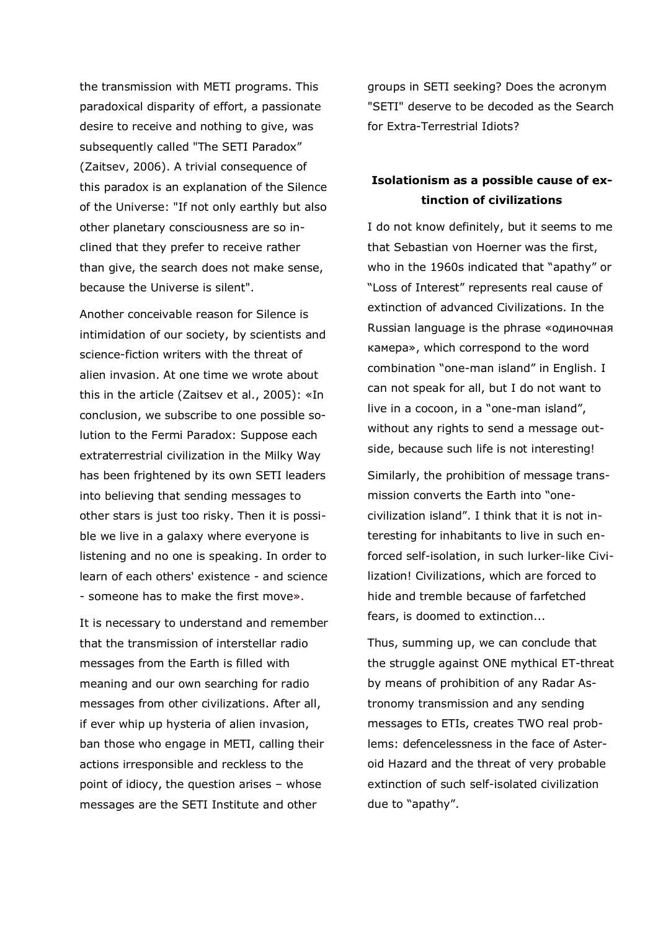the transmission with METI programs. This paradoxical disparity of effort, a passionate desire to receive and nothing to give, was subsequently called "The SETI Paradox" (Zaitsev, 2006). A trivial consequence of this paradox is an explanation of the Silence of the Universe: "If not only earthly but also other planetary consciousness are so inclined that they prefer to receive rather than give, the search does not make sense, because the Universe is silent".

Another conceivable reason for Silence is intimidation of our society, by scientists and science-fiction writers with the threat of alien invasion. At one time we wrote about this in the article (Zaitsev et al., 2005): «In conclusion, we subscribe to one possible solution to the Fermi Paradox: Suppose each extraterrestrial civilization in the Milky Way has been frightened by its own SETI leaders into believing that sending messages to other stars is just too risky. Then it is possible we live in a galaxy where everyone is listening and no one is speaking. In order to learn of each others' existence - and science - someone has to make the first move».

It is necessary to understand and remember that the transmission of interstellar radio messages from the Earth is filled with meaning and our own searching for radio messages from other civilizations. After all, if ever whip up hysteria of alien invasion, ban those who engage in METI, calling their actions irresponsible and reckless to the point of idiocy, the question arises – whose messages are the SETI Institute and other

groups in SETI seeking? Does the acronym "SETI" deserve to be decoded as the Search for Extra-Terrestrial Idiots?

### **Isolationism as a possible cause of extinction of civilizations**

I do not know definitely, but it seems to me that Sebastian von Hoerner was the first, who in the 1960s indicated that "apathy" or "Loss of Interest" represents real cause of extinction of advanced Civilizations. In the Russian language is the phrase «одиночная камера», which correspond to the word combination "one-man island" in English. I can not speak for all, but I do not want to live in a cocoon, in a "one-man island", without any rights to send a message outside, because such life is not interesting!

Similarly, the prohibition of message transmission converts the Earth into "onecivilization island". I think that it is not interesting for inhabitants to live in such enforced self-isolation, in such lurker-like Civilization! Civilizations, which are forced to hide and tremble because of farfetched fears, is doomed to extinction...

Thus, summing up, we can conclude that the struggle against ONE mythical ET-threat by means of prohibition of any Radar Astronomy transmission and any sending messages to ETIs, creates TWO real problems: defencelessness in the face of Asteroid Hazard and the threat of very probable extinction of such self-isolated civilization due to "apathy".